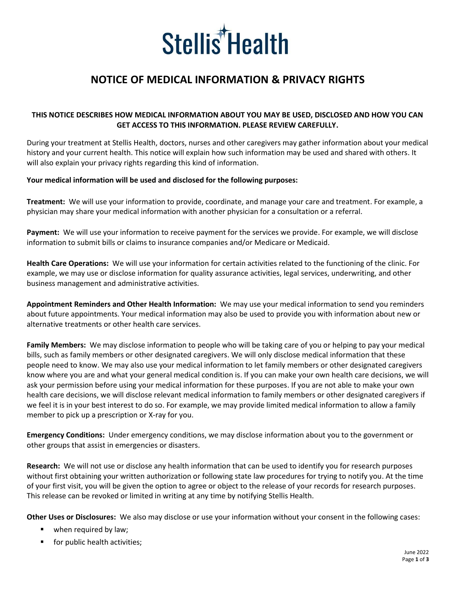

# **NOTICE OF MEDICAL INFORMATION & PRIVACY RIGHTS**

### **THIS NOTICE DESCRIBES HOW MEDICAL INFORMATION ABOUT YOU MAY BE USED, DISCLOSED AND HOW YOU CAN GET ACCESS TO THIS INFORMATION. PLEASE REVIEW CAREFULLY.**

During your treatment at Stellis Health, doctors, nurses and other caregivers may gather information about your medical history and your current health. This notice will explain how such information may be used and shared with others. It will also explain your privacy rights regarding this kind of information.

#### **Your medical information will be used and disclosed for the following purposes:**

**Treatment:** We will use your information to provide, coordinate, and manage your care and treatment. For example, a physician may share your medical information with another physician for a consultation or a referral.

**Payment:** We will use your information to receive payment for the services we provide. For example, we will disclose information to submit bills or claims to insurance companies and/or Medicare or Medicaid.

**Health Care Operations:** We will use your information for certain activities related to the functioning of the clinic. For example, we may use or disclose information for quality assurance activities, legal services, underwriting, and other business management and administrative activities.

**Appointment Reminders and Other Health Information:** We may use your medical information to send you reminders about future appointments. Your medical information may also be used to provide you with information about new or alternative treatments or other health care services.

**Family Members:** We may disclose information to people who will be taking care of you or helping to pay your medical bills, such as family members or other designated caregivers. We will only disclose medical information that these people need to know. We may also use your medical information to let family members or other designated caregivers know where you are and what your general medical condition is. If you can make your own health care decisions, we will ask your permission before using your medical information for these purposes. If you are not able to make your own health care decisions, we will disclose relevant medical information to family members or other designated caregivers if we feel it is in your best interest to do so. For example, we may provide limited medical information to allow a family member to pick up a prescription or X-ray for you.

**Emergency Conditions:** Under emergency conditions, we may disclose information about you to the government or other groups that assist in emergencies or disasters.

**Research:** We will not use or disclose any health information that can be used to identify you for research purposes without first obtaining your written authorization or following state law procedures for trying to notify you. At the time of your first visit, you will be given the option to agree or object to the release of your records for research purposes. This release can be revoked or limited in writing at any time by notifying Stellis Health.

**Other Uses or Disclosures:** We also may disclose or use your information without your consent in the following cases:

- when required by law;
- for public health activities;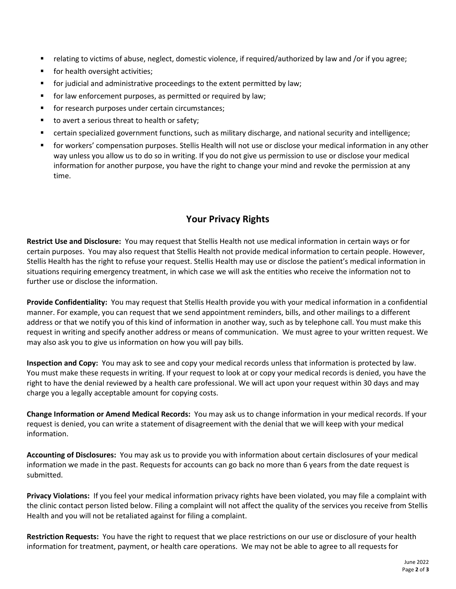- relating to victims of abuse, neglect, domestic violence, if required/authorized by law and /or if you agree;
- for health oversight activities;
- for judicial and administrative proceedings to the extent permitted by law;
- for law enforcement purposes, as permitted or required by law;
- for research purposes under certain circumstances;
- to avert a serious threat to health or safety;
- certain specialized government functions, such as military discharge, and national security and intelligence;
- for workers' compensation purposes. Stellis Health will not use or disclose your medical information in any other way unless you allow us to do so in writing. If you do not give us permission to use or disclose your medical information for another purpose, you have the right to change your mind and revoke the permission at any time.

# **Your Privacy Rights**

**Restrict Use and Disclosure:** You may request that Stellis Health not use medical information in certain ways or for certain purposes. You may also request that Stellis Health not provide medical information to certain people. However, Stellis Health has the right to refuse your request. Stellis Health may use or disclose the patient's medical information in situations requiring emergency treatment, in which case we will ask the entities who receive the information not to further use or disclose the information.

**Provide Confidentiality:** You may request that Stellis Health provide you with your medical information in a confidential manner. For example, you can request that we send appointment reminders, bills, and other mailings to a different address or that we notify you of this kind of information in another way, such as by telephone call. You must make this request in writing and specify another address or means of communication. We must agree to your written request. We may also ask you to give us information on how you will pay bills.

**Inspection and Copy:** You may ask to see and copy your medical records unless that information is protected by law. You must make these requests in writing. If your request to look at or copy your medical records is denied, you have the right to have the denial reviewed by a health care professional. We will act upon your request within 30 days and may charge you a legally acceptable amount for copying costs.

**Change Information or Amend Medical Records:** You may ask us to change information in your medical records. If your request is denied, you can write a statement of disagreement with the denial that we will keep with your medical information.

**Accounting of Disclosures:** You may ask us to provide you with information about certain disclosures of your medical information we made in the past. Requests for accounts can go back no more than 6 years from the date request is submitted.

**Privacy Violations:** If you feel your medical information privacy rights have been violated, you may file a complaint with the clinic contact person listed below. Filing a complaint will not affect the quality of the services you receive from Stellis Health and you will not be retaliated against for filing a complaint.

**Restriction Requests:** You have the right to request that we place restrictions on our use or disclosure of your health information for treatment, payment, or health care operations. We may not be able to agree to all requests for